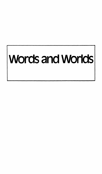# Words and WOrlds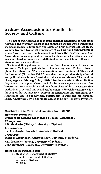#### **Sydney Association for Studies in Society and Culture**

The aim of our Association is to bring together concerned scholars from Australia and overseas to discuss and publish on themes which transcends the usual academic disciplines and establish links between subject areas. We now live in a hysterical atmosphere of cold war and anti-intellectual tirade (both from the Establishment and from the Extreme Left). Our Association hopes to provide a forum for those who feel strongly about academic freedom, peace and intellectual achievement to air alternative views on society and culture.

We intend this publication to be the first of a series each based on seminars. We hope to publish two volumes every year. We have already plans for others on "The documentation and notation of Theatrical Performance" (November 1983), "Feudalism: a comparative study of social and political structures of pre-industrial societies" (March 1984) and on "Language and Ideology" (July 1984). Like the material in this collection they are all on topics where the links between subject-areas and also between culture and social world have been obscured by the conservative institutions of cultural and social establishments. We wish to acknowledge the support that we have received from the contributors and members of our Association and to our advisers, particularly to Professor Sir Edmund Leach (Cambridge), who has kindly agreed to be our Honorary President.

Members of the Working Committee for 1983/84 *Honorary President*  Professor Sir Edmund Leach (King's College, Cambridge). *Chairperson*  S.N. Mukherjee (History, University of Sydney). *Co-ordinator*  Stephen Knight (English, University of Sydney). *Treasurer*  Marie de Lepervanche (Anthropology, University of Sydney). Gay MacAuley (French, University of Sydney). John Burnheim (Philosophy, University of Sydney).

Books can be purchased from:

S. Mukherjee, Department of History; S. Knight, Department of English University of Sydney NSW 2006.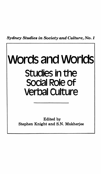*Sydney Studies in Society and Culture, No. 1* 

# words and worlds studies in the social Role of verbal Culture

Edited by Stephen Knight and S.N. Mukherjee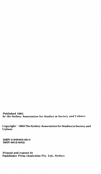Published 1983 by the Sydney Association for Studies in Society and Culture.

Copyright  $\cdot$  1983 The Sydney Association for Studies in Society and **Culture** 

ISBN 0-949405-00-0 ISSN 0812-6402

Printed and typeset by Pathfinder Press (Australia) Pty. Ltd., Sydney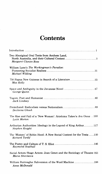## **Contents**

| Two Aboriginal Oral Texts from Arnhem Land,<br><b>Margaret Clunies Ross</b>                |
|--------------------------------------------------------------------------------------------|
| William Lane's The Workingman's Paradise:<br>Michael Wilding                               |
| 750 Papua New Guineas in Search of a Literature<br>Max Kelly                               |
| George Quinn                                                                               |
| Jack Lindsay                                                                               |
| Devleena Ghosh                                                                             |
| The Rise and Fall of a 'New Woman': Arishima Takeo's Aru Onna 103<br>Leith Morton          |
| Arthurian Authorities: Ideology in the Legend of King Arthur117<br><b>Stephen Knight</b>   |
| The 'Mistery' of Robin Hood: A New Social Context for the Texts 130<br>Richard Tardif      |
| Raymond Southall                                                                           |
| Social Actors/Stage Actors: Jean Genet and the Sociology of Theatre 163<br>Maria Shevtsova |
| William Burroughs: Subversion of the Word Machine 188<br>Anne McDonald                     |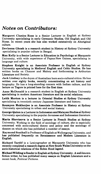#### *Notes on Contributors:*

Margaret Clunies Ross is a Senior Lecturer in English at Sydney University specialising in early Germanic Studies, Old English and Old Norse. In recent years she has also worked extensively on Aboriginal culture.

Devleena Ghosh is a research student in History at Sydney University specialising in popular culture in Bengal.

Max Kelly is a Senior Lecturer in Education in Psychology at Macquarie University, with wide experience of Papua-New Guinea, specialising in language and culture.

Stephen Knight is an Associate Professor in English at Sydney University specialising in Medieval English and Celtic Studies. He has written books on Chaucer and Malory and forthcoming is Arthurian Literature and Society.

Jack Lindsay is the doyen of Australian born socio-cultural critics. He has written over eighty books, recently concentrating on art history and biography. He has a long-standing concern with Indian culture, and his lecture on Tagore is printed here for the first time.

Anne McDonald is a research student in English at Sydney University specialising in modem American literature and its social relations.

Leith Morton is a lecturer in Oriental Studies at Sydney University specialising in, twentieth century Japanese literature and history.

Soumyen Mukherjee is an Associate Professor in History at Sydney University specialising in urban and social history.

George Quinn is a Lecturer in Indonesian and Malayan Studies at Sydney University specialising in the popular Javanese and Indonesian literature.

Maria Shevtsova is a Senior Lecturer in French Studies at Sydney University. Working in the field of sociology of culture, she is especially concerned with socio-cultural theory and policy and the sociology of theatre on which she has published a number of essays.

Raymond Southall is Professor of English at Wollongong University, and has published frequently on Renaissance and Modem Literature in English.

Richard Tardif is a Lexicographer at Macquarie University who has recently completed a research degree at New South Wales University on the socio-historical relations of the Robin Hood legend.

Michael Wilding is Reader in English at Sydney University. A well-known fiction writer, he has published many essays on English Literature and a recent book, *Political Fictions.*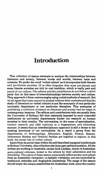### **Introduction**

This collection of essays attempts to analyse the relationships between literature and society, between words and worlds, between texts and contexts. We prefer the word 'verbal culture' as it incorporates both literate and pre-literate societies. (It is often forgotten that most pre-literate and some literate societies are rich in oral tradition, which is really part and parcel of our culture.) The editors and the contributors do not follow a strict party line on this issue of interrelationships between society and culture. They approach it from various angles using varied methods of research. But we all agree that texts cannot be studied without their contexts and that the study of literature (or verbal culture) is not the monopoly of one particular university department or one particular discipline. This enterprise of publishing a collection of essays on literature and society had its origin in contemporary tensions. The editors and contributors (who are mostly from the University of Sydney) felt that restraints imposed by such outmoded institutions as university departments hinder our research on human societies in their totality. The universities, in the name of specialisation, conduct research and offer curricula in a fragmentary and alienating manner. It seems that an interdisciplinary approach is still a threat to the existing structures of our universities. *As* a result a group from the departments of Anthropology, Education, English, French, History, Indonesian Studies and Oriental Studies got together to explore, in this book, the social role of verbal culture.

Apart from its social base within the self-described marginal intellectuals at Sydney University, this collection also has a geo-pelitical position. All the writers are working in Australia, except Jack Lindsay, doyen of Australian socio-cultural criticism, linked to the editors by their admiration and his friendship. The topics of these essays consciously reflect society and culture from an Australian viewpoint-a realistic viewpoint, not one controlled by traditional attitudes and Anglophile limitations. The range of the essays should imply the unique possibilities for Australian work, since the country